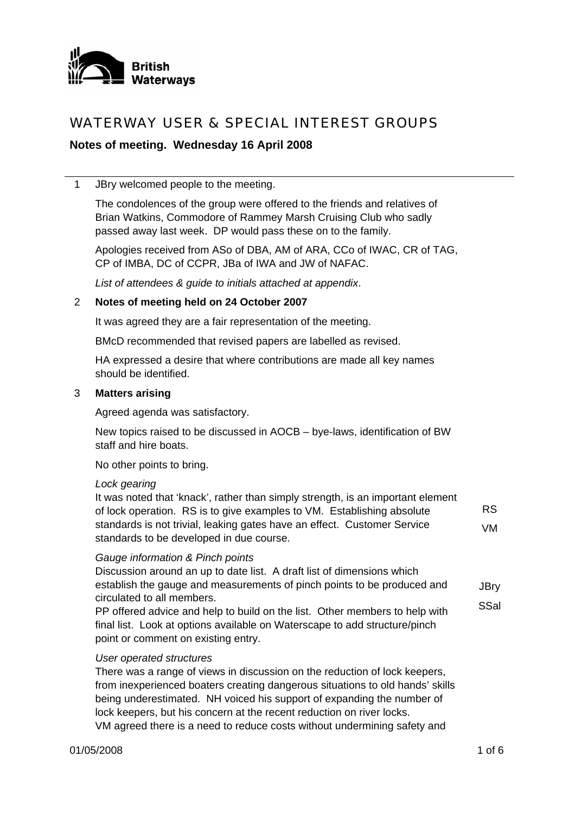

## WATERWAY USER & SPECIAL INTEREST GROUPS

## **Notes of meeting. Wednesday 16 April 2008**

1 JBry welcomed people to the meeting.

The condolences of the group were offered to the friends and relatives of Brian Watkins, Commodore of Rammey Marsh Cruising Club who sadly passed away last week. DP would pass these on to the family.

Apologies received from ASo of DBA, AM of ARA, CCo of IWAC, CR of TAG, CP of IMBA, DC of CCPR, JBa of IWA and JW of NAFAC.

*List of attendees & guide to initials attached at appendix*.

#### 2 **Notes of meeting held on 24 October 2007**

It was agreed they are a fair representation of the meeting.

BMcD recommended that revised papers are labelled as revised.

HA expressed a desire that where contributions are made all key names should be identified.

#### 3 **Matters arising**

Agreed agenda was satisfactory.

New topics raised to be discussed in AOCB – bye-laws, identification of BW staff and hire boats.

No other points to bring.

#### *Lock gearing*

It was noted that 'knack', rather than simply strength, is an important element of lock operation. RS is to give examples to VM. Establishing absolute standards is not trivial, leaking gates have an effect. Customer Service standards to be developed in due course. RS VM

#### *Gauge information & Pinch points*

Discussion around an up to date list. A draft list of dimensions which establish the gauge and measurements of pinch points to be produced and circulated to all members. **JBry SSal** 

PP offered advice and help to build on the list. Other members to help with final list. Look at options available on Waterscape to add structure/pinch point or comment on existing entry.

#### *User operated structures*

There was a range of views in discussion on the reduction of lock keepers, from inexperienced boaters creating dangerous situations to old hands' skills being underestimated. NH voiced his support of expanding the number of lock keepers, but his concern at the recent reduction on river locks. VM agreed there is a need to reduce costs without undermining safety and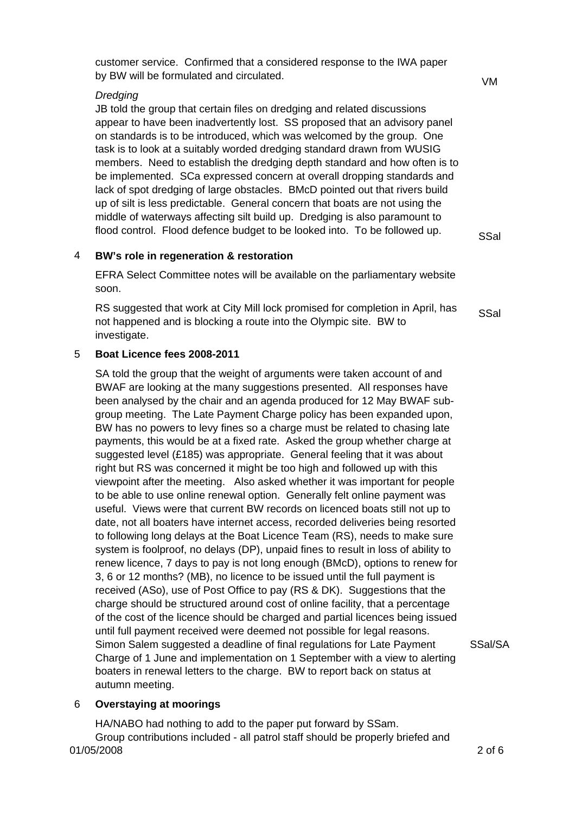customer service. Confirmed that a considered response to the IWA paper by BW will be formulated and circulated.

## *Dredging*

JB told the group that certain files on dredging and related discussions appear to have been inadvertently lost. SS proposed that an advisory panel on standards is to be introduced, which was welcomed by the group. One task is to look at a suitably worded dredging standard drawn from WUSIG members. Need to establish the dredging depth standard and how often is to be implemented. SCa expressed concern at overall dropping standards and lack of spot dredging of large obstacles. BMcD pointed out that rivers build up of silt is less predictable. General concern that boats are not using the middle of waterways affecting silt build up. Dredging is also paramount to flood control. Flood defence budget to be looked into. To be followed up.

**SSal** 

#### 4 **BW's role in regeneration & restoration**

EFRA Select Committee notes will be available on the parliamentary website soon.

RS suggested that work at City Mill lock promised for completion in April, has not happened and is blocking a route into the Olympic site. BW to investigate. **SSal** 

#### 5 **Boat Licence fees 2008-2011**

SA told the group that the weight of arguments were taken account of and BWAF are looking at the many suggestions presented. All responses have been analysed by the chair and an agenda produced for 12 May BWAF subgroup meeting. The Late Payment Charge policy has been expanded upon, BW has no powers to levy fines so a charge must be related to chasing late payments, this would be at a fixed rate. Asked the group whether charge at suggested level (£185) was appropriate. General feeling that it was about right but RS was concerned it might be too high and followed up with this viewpoint after the meeting. Also asked whether it was important for people to be able to use online renewal option. Generally felt online payment was useful. Views were that current BW records on licenced boats still not up to date, not all boaters have internet access, recorded deliveries being resorted to following long delays at the Boat Licence Team (RS), needs to make sure system is foolproof, no delays (DP), unpaid fines to result in loss of ability to renew licence, 7 days to pay is not long enough (BMcD), options to renew for 3, 6 or 12 months? (MB), no licence to be issued until the full payment is received (ASo), use of Post Office to pay (RS & DK). Suggestions that the charge should be structured around cost of online facility, that a percentage of the cost of the licence should be charged and partial licences being issued until full payment received were deemed not possible for legal reasons. Simon Salem suggested a deadline of final regulations for Late Payment Charge of 1 June and implementation on 1 September with a view to alerting boaters in renewal letters to the charge. BW to report back on status at autumn meeting.

SSal/SA

#### 6 **Overstaying at moorings**

01/05/2008 2 of 6 HA/NABO had nothing to add to the paper put forward by SSam. Group contributions included - all patrol staff should be properly briefed and

VM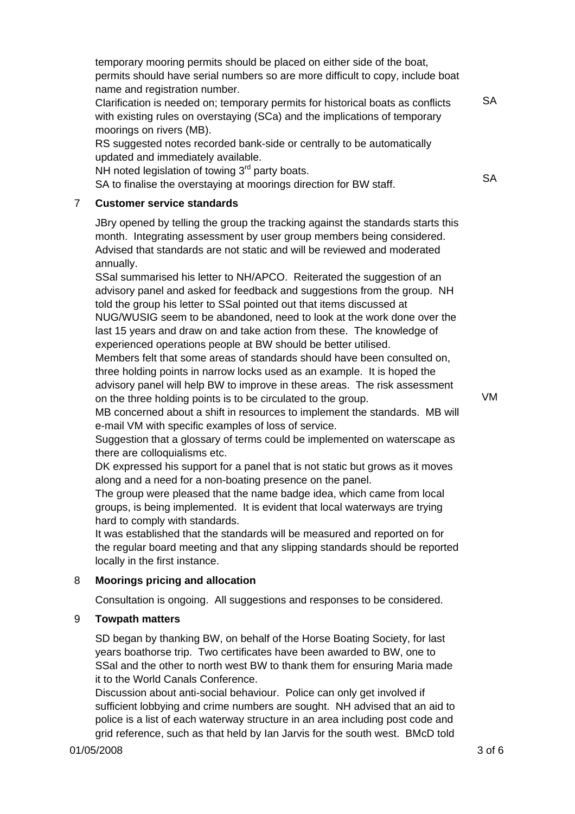temporary mooring permits should be placed on either side of the boat, permits should have serial numbers so are more difficult to copy, include boat name and registration number.

Clarification is needed on; temporary permits for historical boats as conflicts with existing rules on overstaying (SCa) and the implications of temporary moorings on rivers (MB).

RS suggested notes recorded bank-side or centrally to be automatically updated and immediately available.

NH noted legislation of towing  $3<sup>rd</sup>$  party boats.

SA to finalise the overstaying at moorings direction for BW staff.

## 7 **Customer service standards**

JBry opened by telling the group the tracking against the standards starts this month. Integrating assessment by user group members being considered. Advised that standards are not static and will be reviewed and moderated annually.

SSal summarised his letter to NH/APCO. Reiterated the suggestion of an advisory panel and asked for feedback and suggestions from the group. NH told the group his letter to SSal pointed out that items discussed at NUG/WUSIG seem to be abandoned, need to look at the work done over the last 15 years and draw on and take action from these. The knowledge of experienced operations people at BW should be better utilised.

Members felt that some areas of standards should have been consulted on, three holding points in narrow locks used as an example. It is hoped the advisory panel will help BW to improve in these areas. The risk assessment on the three holding points is to be circulated to the group.

VM

**SA** 

**SA** 

MB concerned about a shift in resources to implement the standards. MB will e-mail VM with specific examples of loss of service.

Suggestion that a glossary of terms could be implemented on waterscape as there are colloquialisms etc.

DK expressed his support for a panel that is not static but grows as it moves along and a need for a non-boating presence on the panel.

The group were pleased that the name badge idea, which came from local groups, is being implemented. It is evident that local waterways are trying hard to comply with standards.

It was established that the standards will be measured and reported on for the regular board meeting and that any slipping standards should be reported locally in the first instance.

## 8 **Moorings pricing and allocation**

Consultation is ongoing. All suggestions and responses to be considered.

## 9 **Towpath matters**

SD began by thanking BW, on behalf of the Horse Boating Society, for last years boathorse trip. Two certificates have been awarded to BW, one to SSal and the other to north west BW to thank them for ensuring Maria made it to the World Canals Conference.

Discussion about anti-social behaviour. Police can only get involved if sufficient lobbying and crime numbers are sought. NH advised that an aid to police is a list of each waterway structure in an area including post code and grid reference, such as that held by Ian Jarvis for the south west. BMcD told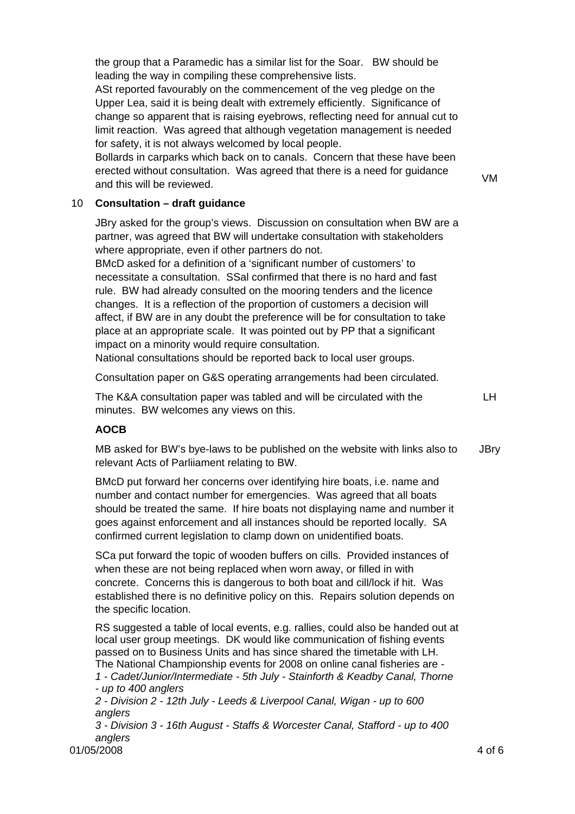the group that a Paramedic has a similar list for the Soar. BW should be leading the way in compiling these comprehensive lists.

ASt reported favourably on the commencement of the veg pledge on the Upper Lea, said it is being dealt with extremely efficiently. Significance of change so apparent that is raising eyebrows, reflecting need for annual cut to limit reaction. Was agreed that although vegetation management is needed for safety, it is not always welcomed by local people.

Bollards in carparks which back on to canals. Concern that these have been erected without consultation. Was agreed that there is a need for guidance erected without consultation. Was agreed that there is a need for guidance<br>and this will be reviewed.

## 10 **Consultation – draft guidance**

JBry asked for the group's views. Discussion on consultation when BW are a partner, was agreed that BW will undertake consultation with stakeholders where appropriate, even if other partners do not.

BMcD asked for a definition of a 'significant number of customers' to necessitate a consultation. SSal confirmed that there is no hard and fast rule. BW had already consulted on the mooring tenders and the licence changes. It is a reflection of the proportion of customers a decision will affect, if BW are in any doubt the preference will be for consultation to take place at an appropriate scale. It was pointed out by PP that a significant impact on a minority would require consultation.

National consultations should be reported back to local user groups.

Consultation paper on G&S operating arrangements had been circulated.

The K&A consultation paper was tabled and will be circulated with the minutes. BW welcomes any views on this.

LH

## **AOCB**

MB asked for BW's bye-laws to be published on the website with links also to relevant Acts of Parliiament relating to BW. **JBry** 

BMcD put forward her concerns over identifying hire boats, i.e. name and number and contact number for emergencies. Was agreed that all boats should be treated the same. If hire boats not displaying name and number it goes against enforcement and all instances should be reported locally. SA confirmed current legislation to clamp down on unidentified boats.

SCa put forward the topic of wooden buffers on cills. Provided instances of when these are not being replaced when worn away, or filled in with concrete. Concerns this is dangerous to both boat and cill/lock if hit. Was established there is no definitive policy on this. Repairs solution depends on the specific location.

RS suggested a table of local events, e.g. rallies, could also be handed out at local user group meetings. DK would like communication of fishing events passed on to Business Units and has since shared the timetable with LH. The National Championship events for 2008 on online canal fisheries are - *1 - Cadet/Junior/Intermediate - 5th July - Stainforth & Keadby Canal, Thorne - up to 400 anglers 2 - Division 2 - 12th July - Leeds & Liverpool Canal, Wigan - up to 600* 

*anglers*

*3 - Division 3 - 16th August - Staffs & Worcester Canal, Stafford - up to 400 anglers* 

01/05/2008 4 of 6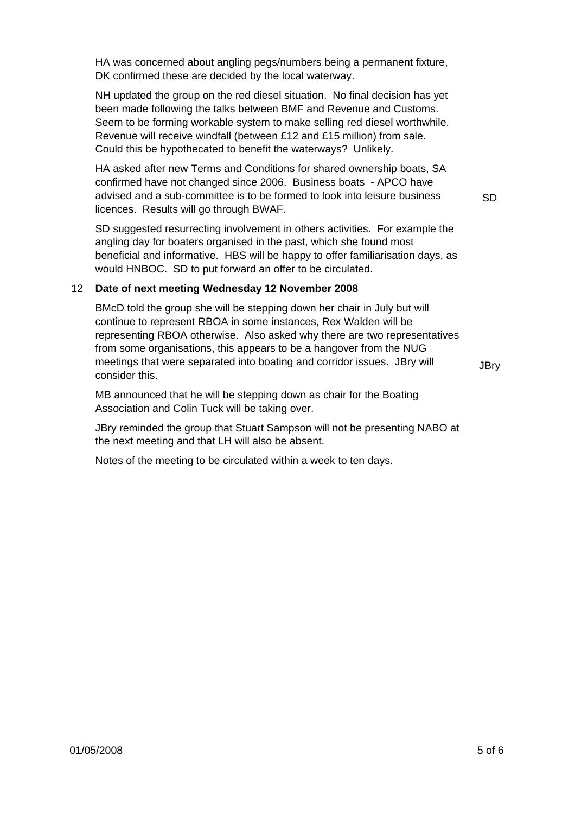HA was concerned about angling pegs/numbers being a permanent fixture, DK confirmed these are decided by the local waterway.

NH updated the group on the red diesel situation. No final decision has yet been made following the talks between BMF and Revenue and Customs. Seem to be forming workable system to make selling red diesel worthwhile. Revenue will receive windfall (between £12 and £15 million) from sale. Could this be hypothecated to benefit the waterways? Unlikely.

HA asked after new Terms and Conditions for shared ownership boats, SA confirmed have not changed since 2006. Business boats - APCO have advised and a sub-committee is to be formed to look into leisure business licences. Results will go through BWAF.

SD suggested resurrecting involvement in others activities. For example the angling day for boaters organised in the past, which she found most beneficial and informative. HBS will be happy to offer familiarisation days, as would HNBOC. SD to put forward an offer to be circulated.

#### 12 **Date of next meeting Wednesday 12 November 2008**

BMcD told the group she will be stepping down her chair in July but will continue to represent RBOA in some instances, Rex Walden will be representing RBOA otherwise. Also asked why there are two representatives from some organisations, this appears to be a hangover from the NUG meetings that were separated into boating and corridor issues. JBry will consider this.

**JBrv** 

SD

MB announced that he will be stepping down as chair for the Boating Association and Colin Tuck will be taking over.

JBry reminded the group that Stuart Sampson will not be presenting NABO at the next meeting and that LH will also be absent.

Notes of the meeting to be circulated within a week to ten days.